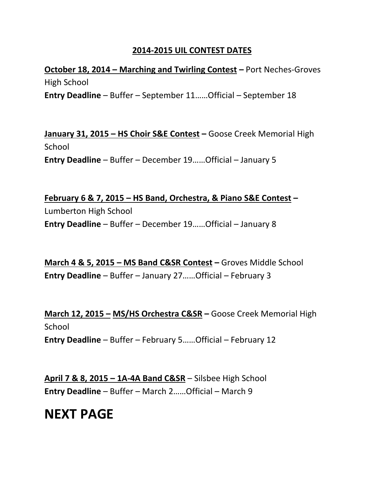## **2014-2015 UIL CONTEST DATES**

**October 18, 2014 – Marching and Twirling Contest –** Port Neches-Groves High School **Entry Deadline** – Buffer – September 11……Official – September 18

**January 31, 2015 – HS Choir S&E Contest –** Goose Creek Memorial High School **Entry Deadline** – Buffer – December 19……Official – January 5

**February 6 & 7, 2015 – HS Band, Orchestra, & Piano S&E Contest –** Lumberton High School **Entry Deadline** – Buffer – December 19……Official – January 8

**March 4 & 5, 2015 – MS Band C&SR Contest –** Groves Middle School **Entry Deadline** – Buffer – January 27……Official – February 3

**March 12, 2015 – MS/HS Orchestra C&SR –** Goose Creek Memorial High School **Entry Deadline** – Buffer – February 5……Official – February 12

**April 7 & 8, 2015 – 1A-4A Band C&SR** – Silsbee High School **Entry Deadline** – Buffer – March 2……Official – March 9

## **NEXT PAGE**